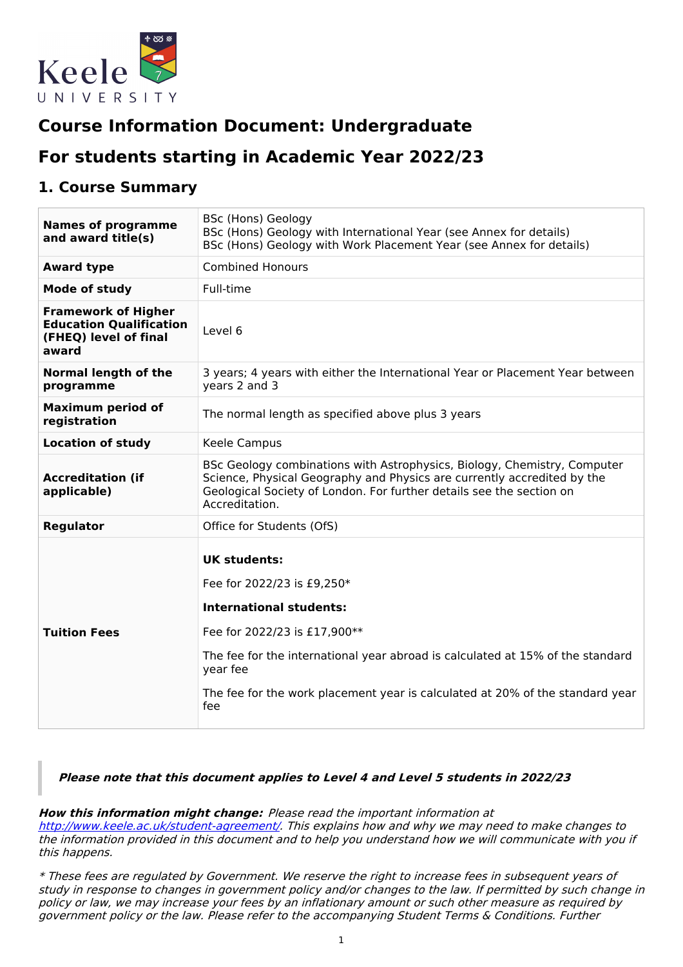

# **Course Information Document: Undergraduate**

# **For students starting in Academic Year 2022/23**

## **1. Course Summary**

| <b>Names of programme</b><br>and award title(s)                                                | <b>BSc (Hons) Geology</b><br>BSc (Hons) Geology with International Year (see Annex for details)<br>BSc (Hons) Geology with Work Placement Year (see Annex for details)                                                                                                                                    |  |  |
|------------------------------------------------------------------------------------------------|-----------------------------------------------------------------------------------------------------------------------------------------------------------------------------------------------------------------------------------------------------------------------------------------------------------|--|--|
| <b>Award type</b>                                                                              | <b>Combined Honours</b>                                                                                                                                                                                                                                                                                   |  |  |
| Mode of study                                                                                  | Full-time                                                                                                                                                                                                                                                                                                 |  |  |
| <b>Framework of Higher</b><br><b>Education Qualification</b><br>(FHEQ) level of final<br>award | Level 6                                                                                                                                                                                                                                                                                                   |  |  |
| <b>Normal length of the</b><br>programme                                                       | 3 years; 4 years with either the International Year or Placement Year between<br>years 2 and 3                                                                                                                                                                                                            |  |  |
| <b>Maximum period of</b><br>registration                                                       | The normal length as specified above plus 3 years                                                                                                                                                                                                                                                         |  |  |
| <b>Location of study</b>                                                                       | Keele Campus                                                                                                                                                                                                                                                                                              |  |  |
| <b>Accreditation (if</b><br>applicable)                                                        | BSc Geology combinations with Astrophysics, Biology, Chemistry, Computer<br>Science, Physical Geography and Physics are currently accredited by the<br>Geological Society of London. For further details see the section on<br>Accreditation.                                                             |  |  |
| <b>Regulator</b>                                                                               | Office for Students (OfS)                                                                                                                                                                                                                                                                                 |  |  |
| <b>Tuition Fees</b>                                                                            | <b>UK students:</b><br>Fee for 2022/23 is £9,250*<br><b>International students:</b><br>Fee for 2022/23 is £17,900**<br>The fee for the international year abroad is calculated at 15% of the standard<br>year fee<br>The fee for the work placement year is calculated at 20% of the standard year<br>fee |  |  |

### **Please note that this document applies to Level 4 and Level 5 students in 2022/23**

**How this information might change:** Please read the important information at

<http://www.keele.ac.uk/student-agreement/>. This explains how and why we may need to make changes to the information provided in this document and to help you understand how we will communicate with you if this happens.

\* These fees are regulated by Government. We reserve the right to increase fees in subsequent years of study in response to changes in government policy and/or changes to the law. If permitted by such change in policy or law, we may increase your fees by an inflationary amount or such other measure as required by government policy or the law. Please refer to the accompanying Student Terms & Conditions. Further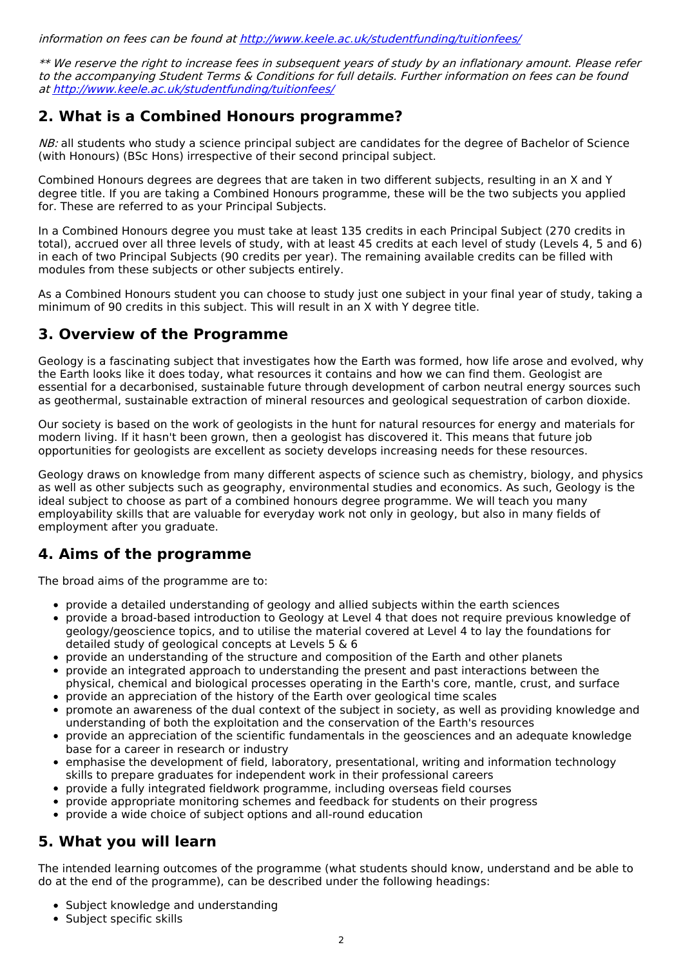information on fees can be found at <http://www.keele.ac.uk/studentfunding/tuitionfees/>

\*\* We reserve the right to increase fees in subsequent years of study by an inflationary amount. Please refer to the accompanying Student Terms & Conditions for full details. Further information on fees can be found at <http://www.keele.ac.uk/studentfunding/tuitionfees/>

## **2. What is a Combined Honours programme?**

NB: all students who study a science principal subject are candidates for the degree of Bachelor of Science (with Honours) (BSc Hons) irrespective of their second principal subject.

Combined Honours degrees are degrees that are taken in two different subjects, resulting in an X and Y degree title. If you are taking a Combined Honours programme, these will be the two subjects you applied for. These are referred to as your Principal Subjects.

In a Combined Honours degree you must take at least 135 credits in each Principal Subject (270 credits in total), accrued over all three levels of study, with at least 45 credits at each level of study (Levels 4, 5 and 6) in each of two Principal Subjects (90 credits per year). The remaining available credits can be filled with modules from these subjects or other subjects entirely.

As a Combined Honours student you can choose to study just one subject in your final year of study, taking a minimum of 90 credits in this subject. This will result in an X with Y degree title.

# **3. Overview of the Programme**

Geology is a fascinating subject that investigates how the Earth was formed, how life arose and evolved, why the Earth looks like it does today, what resources it contains and how we can find them. Geologist are essential for a decarbonised, sustainable future through development of carbon neutral energy sources such as geothermal, sustainable extraction of mineral resources and geological sequestration of carbon dioxide.

Our society is based on the work of geologists in the hunt for natural resources for energy and materials for modern living. If it hasn't been grown, then a geologist has discovered it. This means that future job opportunities for geologists are excellent as society develops increasing needs for these resources.

Geology draws on knowledge from many different aspects of science such as chemistry, biology, and physics as well as other subjects such as geography, environmental studies and economics. As such, Geology is the ideal subject to choose as part of a combined honours degree programme. We will teach you many employability skills that are valuable for everyday work not only in geology, but also in many fields of employment after you graduate.

# **4. Aims of the programme**

The broad aims of the programme are to:

- provide a detailed understanding of geology and allied subjects within the earth sciences
- provide a broad-based introduction to Geology at Level 4 that does not require previous knowledge of geology/geoscience topics, and to utilise the material covered at Level 4 to lay the foundations for detailed study of geological concepts at Levels 5 & 6
- provide an understanding of the structure and composition of the Earth and other planets
- provide an integrated approach to understanding the present and past interactions between the physical, chemical and biological processes operating in the Earth's core, mantle, crust, and surface
- provide an appreciation of the history of the Earth over geological time scales
- promote an awareness of the dual context of the subject in society, as well as providing knowledge and understanding of both the exploitation and the conservation of the Earth's resources
- provide an appreciation of the scientific fundamentals in the geosciences and an adequate knowledge base for a career in research or industry
- emphasise the development of field, laboratory, presentational, writing and information technology skills to prepare graduates for independent work in their professional careers
- provide a fully integrated fieldwork programme, including overseas field courses
- provide appropriate monitoring schemes and feedback for students on their progress
- provide a wide choice of subject options and all-round education

# **5. What you will learn**

The intended learning outcomes of the programme (what students should know, understand and be able to do at the end of the programme), can be described under the following headings:

- Subject knowledge and understanding
- Subject specific skills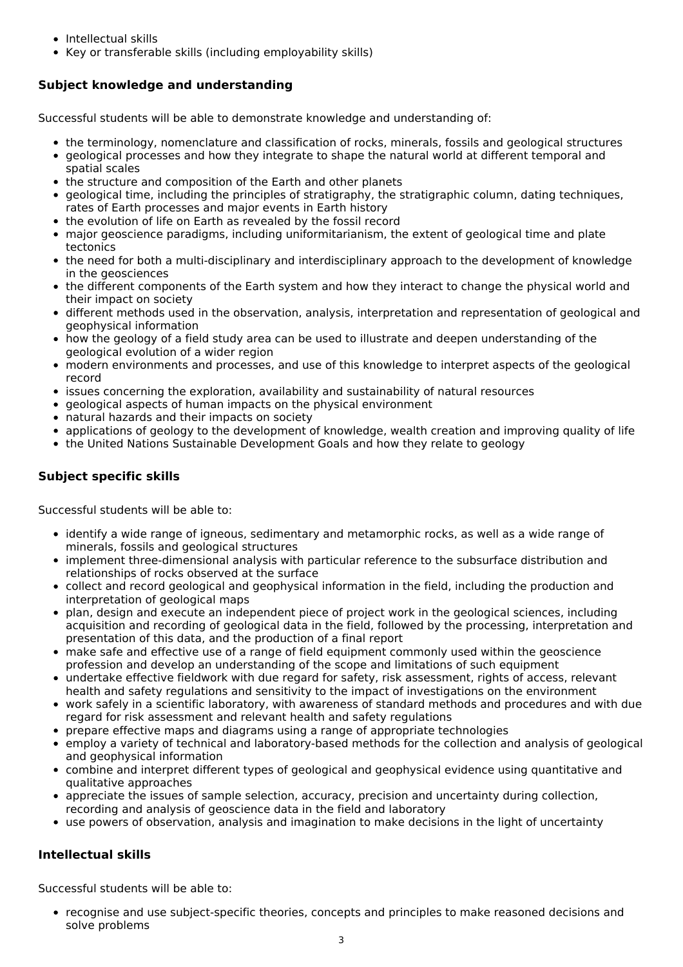- Intellectual skills
- Key or transferable skills (including employability skills)

## **Subject knowledge and understanding**

Successful students will be able to demonstrate knowledge and understanding of:

- the terminology, nomenclature and classification of rocks, minerals, fossils and geological structures
- geological processes and how they integrate to shape the natural world at different temporal and spatial scales
- the structure and composition of the Earth and other planets
- geological time, including the principles of stratigraphy, the stratigraphic column, dating techniques, rates of Earth processes and major events in Earth history
- the evolution of life on Earth as revealed by the fossil record
- major geoscience paradigms, including uniformitarianism, the extent of geological time and plate tectonics
- the need for both a multi-disciplinary and interdisciplinary approach to the development of knowledge in the geosciences
- the different components of the Earth system and how they interact to change the physical world and their impact on society
- different methods used in the observation, analysis, interpretation and representation of geological and geophysical information
- how the geology of a field study area can be used to illustrate and deepen understanding of the geological evolution of a wider region
- modern environments and processes, and use of this knowledge to interpret aspects of the geological record
- issues concerning the exploration, availability and sustainability of natural resources
- geological aspects of human impacts on the physical environment
- natural hazards and their impacts on society
- $\bullet$ applications of geology to the development of knowledge, wealth creation and improving quality of life
- the United Nations Sustainable Development Goals and how they relate to geology

## **Subject specific skills**

Successful students will be able to:

- identify a wide range of igneous, sedimentary and metamorphic rocks, as well as a wide range of minerals, fossils and geological structures
- implement three-dimensional analysis with particular reference to the subsurface distribution and relationships of rocks observed at the surface
- collect and record geological and geophysical information in the field, including the production and interpretation of geological maps
- plan, design and execute an independent piece of project work in the geological sciences, including acquisition and recording of geological data in the field, followed by the processing, interpretation and presentation of this data, and the production of a final report
- make safe and effective use of a range of field equipment commonly used within the geoscience profession and develop an understanding of the scope and limitations of such equipment
- undertake effective fieldwork with due regard for safety, risk assessment, rights of access, relevant health and safety regulations and sensitivity to the impact of investigations on the environment
- work safely in a scientific laboratory, with awareness of standard methods and procedures and with due regard for risk assessment and relevant health and safety regulations
- prepare effective maps and diagrams using a range of appropriate technologies
- employ a variety of technical and laboratory-based methods for the collection and analysis of geological and geophysical information
- combine and interpret different types of geological and geophysical evidence using quantitative and qualitative approaches
- appreciate the issues of sample selection, accuracy, precision and uncertainty during collection, recording and analysis of geoscience data in the field and laboratory
- use powers of observation, analysis and imagination to make decisions in the light of uncertainty

## **Intellectual skills**

Successful students will be able to:

recognise and use subject-specific theories, concepts and principles to make reasoned decisions and solve problems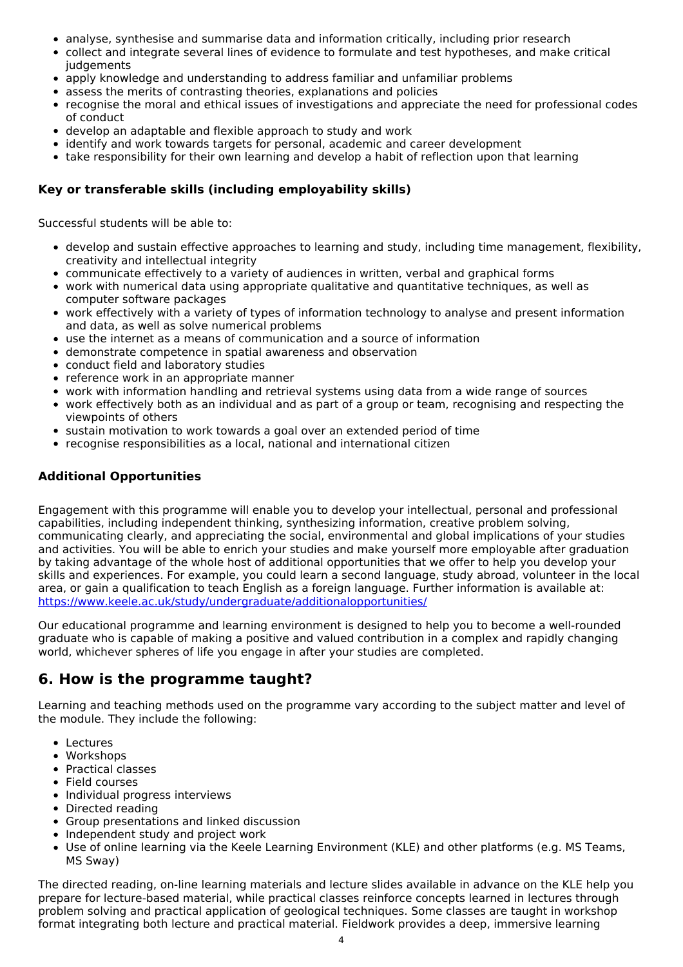- analyse, synthesise and summarise data and information critically, including prior research
- collect and integrate several lines of evidence to formulate and test hypotheses, and make critical iudgements
- apply knowledge and understanding to address familiar and unfamiliar problems
- assess the merits of contrasting theories, explanations and policies
- recognise the moral and ethical issues of investigations and appreciate the need for professional codes of conduct
- develop an adaptable and flexible approach to study and work
- identify and work towards targets for personal, academic and career development
- take responsibility for their own learning and develop a habit of reflection upon that learning

### **Key or transferable skills (including employability skills)**

Successful students will be able to:

- develop and sustain effective approaches to learning and study, including time management, flexibility, creativity and intellectual integrity
- communicate effectively to a variety of audiences in written, verbal and graphical forms
- work with numerical data using appropriate qualitative and quantitative techniques, as well as computer software packages
- work effectively with a variety of types of information technology to analyse and present information and data, as well as solve numerical problems
- use the internet as a means of communication and a source of information
- demonstrate competence in spatial awareness and observation
- conduct field and laboratory studies
- reference work in an appropriate manner
- work with information handling and retrieval systems using data from a wide range of sources
- work effectively both as an individual and as part of a group or team, recognising and respecting the viewpoints of others
- sustain motivation to work towards a goal over an extended period of time
- recognise responsibilities as a local, national and international citizen

### **Additional Opportunities**

Engagement with this programme will enable you to develop your intellectual, personal and professional capabilities, including independent thinking, synthesizing information, creative problem solving, communicating clearly, and appreciating the social, environmental and global implications of your studies and activities. You will be able to enrich your studies and make yourself more employable after graduation by taking advantage of the whole host of additional opportunities that we offer to help you develop your skills and experiences. For example, you could learn a second language, study abroad, volunteer in the local area, or gain a qualification to teach English as a foreign language. Further information is available at: <https://www.keele.ac.uk/study/undergraduate/additionalopportunities/>

Our educational programme and learning environment is designed to help you to become a well-rounded graduate who is capable of making a positive and valued contribution in a complex and rapidly changing world, whichever spheres of life you engage in after your studies are completed.

# **6. How is the programme taught?**

Learning and teaching methods used on the programme vary according to the subject matter and level of the module. They include the following:

- Lectures
- Workshops
- Practical classes
- Field courses
- Individual progress interviews
- Directed reading
- Group presentations and linked discussion
- Independent study and project work
- Use of online learning via the Keele Learning Environment (KLE) and other platforms (e.g. MS Teams, MS Sway)

The directed reading, on-line learning materials and lecture slides available in advance on the KLE help you prepare for lecture-based material, while practical classes reinforce concepts learned in lectures through problem solving and practical application of geological techniques. Some classes are taught in workshop format integrating both lecture and practical material. Fieldwork provides a deep, immersive learning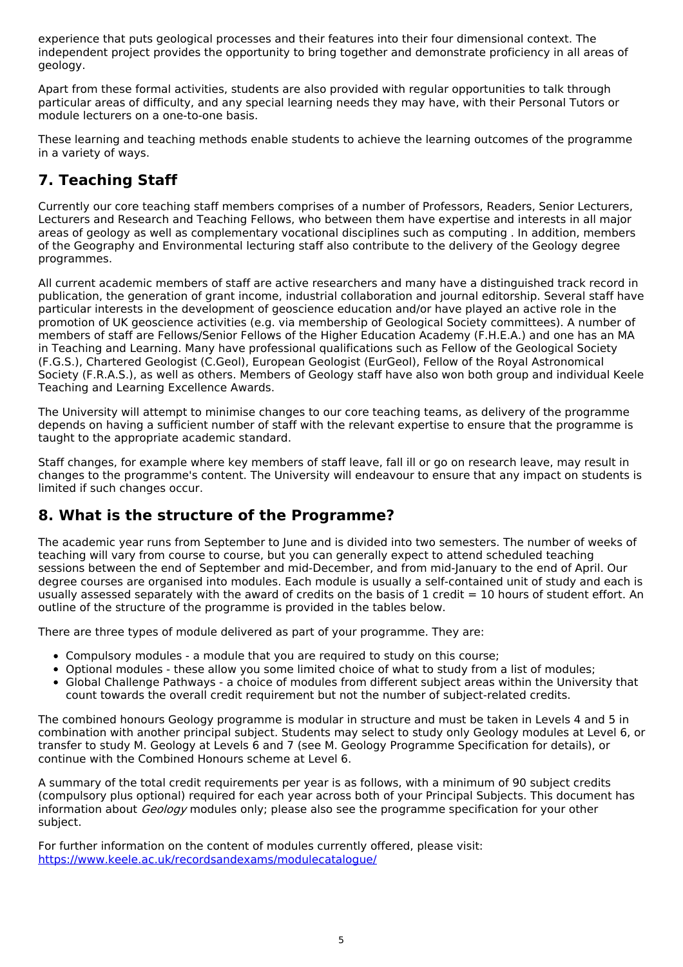experience that puts geological processes and their features into their four dimensional context. The independent project provides the opportunity to bring together and demonstrate proficiency in all areas of geology.

Apart from these formal activities, students are also provided with regular opportunities to talk through particular areas of difficulty, and any special learning needs they may have, with their Personal Tutors or module lecturers on a one-to-one basis.

These learning and teaching methods enable students to achieve the learning outcomes of the programme in a variety of ways.

# **7. Teaching Staff**

Currently our core teaching staff members comprises of a number of Professors, Readers, Senior Lecturers, Lecturers and Research and Teaching Fellows, who between them have expertise and interests in all major areas of geology as well as complementary vocational disciplines such as computing . In addition, members of the Geography and Environmental lecturing staff also contribute to the delivery of the Geology degree programmes.

All current academic members of staff are active researchers and many have a distinguished track record in publication, the generation of grant income, industrial collaboration and journal editorship. Several staff have particular interests in the development of geoscience education and/or have played an active role in the promotion of UK geoscience activities (e.g. via membership of Geological Society committees). A number of members of staff are Fellows/Senior Fellows of the Higher Education Academy (F.H.E.A.) and one has an MA in Teaching and Learning. Many have professional qualifications such as Fellow of the Geological Society (F.G.S.), Chartered Geologist (C.Geol), European Geologist (EurGeol), Fellow of the Royal Astronomical Society (F.R.A.S.), as well as others. Members of Geology staff have also won both group and individual Keele Teaching and Learning Excellence Awards.

The University will attempt to minimise changes to our core teaching teams, as delivery of the programme depends on having a sufficient number of staff with the relevant expertise to ensure that the programme is taught to the appropriate academic standard.

Staff changes, for example where key members of staff leave, fall ill or go on research leave, may result in changes to the programme's content. The University will endeavour to ensure that any impact on students is limited if such changes occur.

# **8. What is the structure of the Programme?**

The academic year runs from September to June and is divided into two semesters. The number of weeks of teaching will vary from course to course, but you can generally expect to attend scheduled teaching sessions between the end of September and mid-December, and from mid-January to the end of April. Our degree courses are organised into modules. Each module is usually a self-contained unit of study and each is usually assessed separately with the award of credits on the basis of 1 credit = 10 hours of student effort. An outline of the structure of the programme is provided in the tables below.

There are three types of module delivered as part of your programme. They are:

- Compulsory modules a module that you are required to study on this course;
- Optional modules these allow you some limited choice of what to study from a list of modules;
- Global Challenge Pathways a choice of modules from different subject areas within the University that count towards the overall credit requirement but not the number of subject-related credits.

The combined honours Geology programme is modular in structure and must be taken in Levels 4 and 5 in combination with another principal subject. Students may select to study only Geology modules at Level 6, or transfer to study M. Geology at Levels 6 and 7 (see M. Geology Programme Specification for details), or continue with the Combined Honours scheme at Level 6.

A summary of the total credit requirements per year is as follows, with a minimum of 90 subject credits (compulsory plus optional) required for each year across both of your Principal Subjects. This document has information about Geology modules only; please also see the programme specification for your other subject.

For further information on the content of modules currently offered, please visit: <https://www.keele.ac.uk/recordsandexams/modulecatalogue/>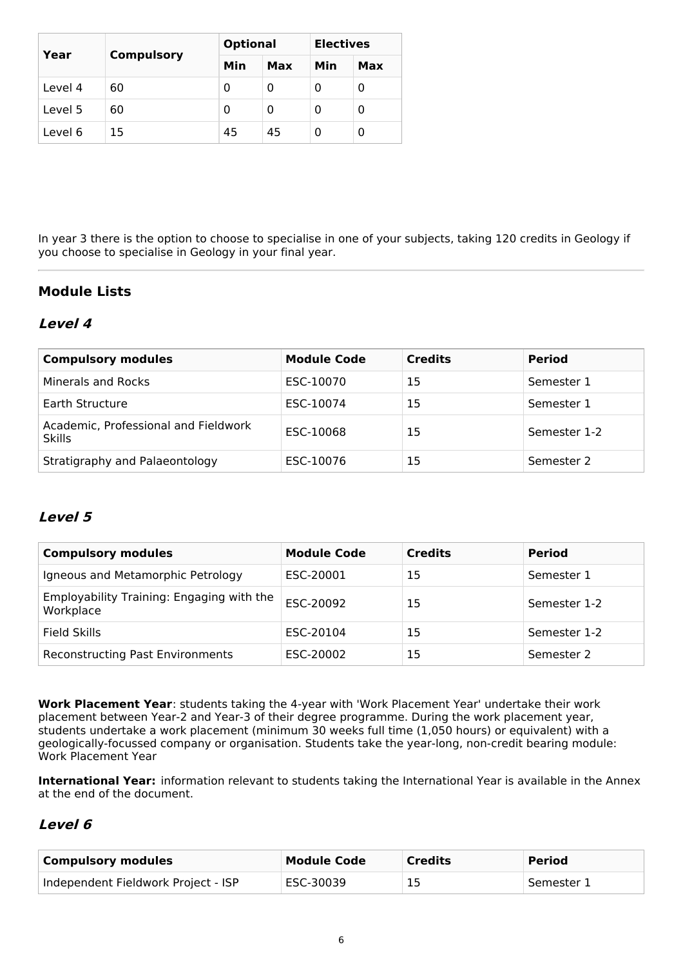| Year    | <b>Compulsory</b> |     | <b>Optional</b> |     | <b>Electives</b> |  |
|---------|-------------------|-----|-----------------|-----|------------------|--|
|         |                   | Min | Max             | Min | Max              |  |
| Level 4 | 60                | 0   | 0               | O   | 0                |  |
| Level 5 | 60                | 0   | 0               | 0   | 0                |  |
| Level 6 | 15                | 45  | 45              |     | 0                |  |

In year 3 there is the option to choose to specialise in one of your subjects, taking 120 credits in Geology if you choose to specialise in Geology in your final year.

## **Module Lists**

## **Level 4**

| <b>Compulsory modules</b>                             | <b>Module Code</b> | <b>Credits</b> | <b>Period</b> |
|-------------------------------------------------------|--------------------|----------------|---------------|
| Minerals and Rocks                                    | ESC-10070          | 15             | Semester 1    |
| Earth Structure                                       | ESC-10074          | 15             | Semester 1    |
| Academic, Professional and Fieldwork<br><b>Skills</b> | ESC-10068          | 15             | Semester 1-2  |
| Stratigraphy and Palaeontology                        | ESC-10076          | 15             | Semester 2    |

## **Level 5**

| <b>Compulsory modules</b>                              | <b>Module Code</b> | <b>Credits</b> | <b>Period</b> |
|--------------------------------------------------------|--------------------|----------------|---------------|
| Igneous and Metamorphic Petrology                      | ESC-20001          | 15             | Semester 1    |
| Employability Training: Engaging with the<br>Workplace | ESC-20092          | 15             | Semester 1-2  |
| Field Skills                                           | ESC-20104          | 15             | Semester 1-2  |
| <b>Reconstructing Past Environments</b>                | ESC-20002          | 15             | Semester 2    |

**Work Placement Year**: students taking the 4-year with 'Work Placement Year' undertake their work placement between Year-2 and Year-3 of their degree programme. During the work placement year, students undertake a work placement (minimum 30 weeks full time (1,050 hours) or equivalent) with a geologically-focussed company or organisation. Students take the year-long, non-credit bearing module: Work Placement Year

**International Year:** information relevant to students taking the International Year is available in the Annex at the end of the document.

## **Level 6**

| <b>Compulsory modules</b>           | Module Code | <b>Credits</b> | <b>Period</b> |
|-------------------------------------|-------------|----------------|---------------|
| Independent Fieldwork Project - ISP | ESC-30039   |                | ' Semester 1  |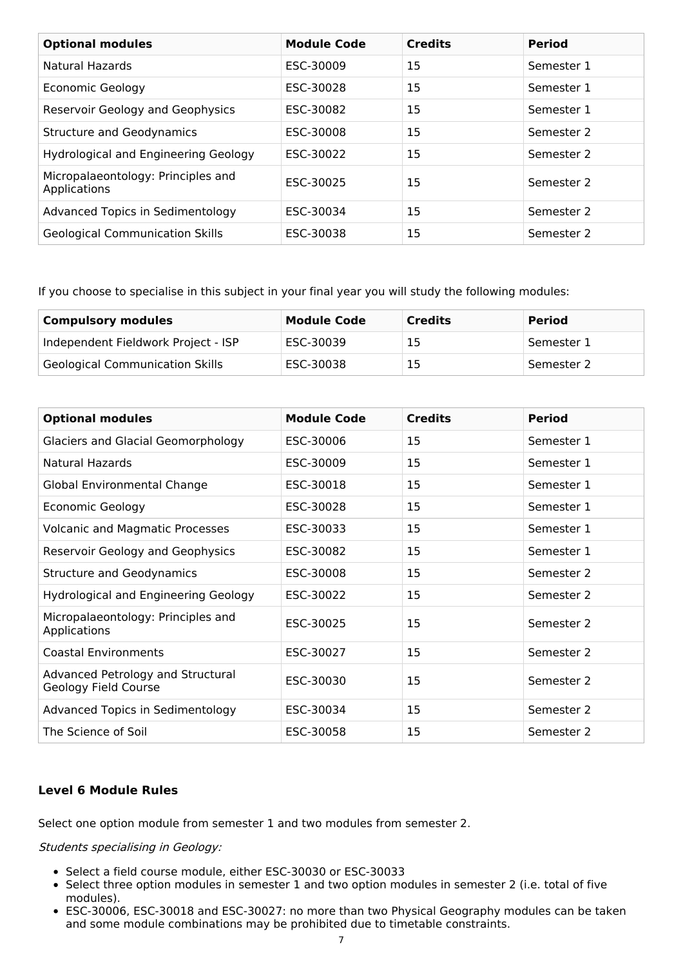| <b>Optional modules</b>                            | <b>Module Code</b> | <b>Credits</b> | <b>Period</b> |
|----------------------------------------------------|--------------------|----------------|---------------|
| Natural Hazards                                    | ESC-30009          | 15             | Semester 1    |
| Economic Geology                                   | ESC-30028          | 15             | Semester 1    |
| Reservoir Geology and Geophysics                   | ESC-30082          | 15             | Semester 1    |
| <b>Structure and Geodynamics</b>                   | ESC-30008          | 15             | Semester 2    |
| Hydrological and Engineering Geology               | ESC-30022          | 15             | Semester 2    |
| Micropalaeontology: Principles and<br>Applications | ESC-30025          | 15             | Semester 2    |
| Advanced Topics in Sedimentology                   | ESC-30034          | 15             | Semester 2    |
| <b>Geological Communication Skills</b>             | ESC-30038          | 15             | Semester 2    |

If you choose to specialise in this subject in your final year you will study the following modules:

| <b>Compulsory modules</b>              | <b>Module Code</b> | <b>Credits</b> | <b>Period</b> |
|----------------------------------------|--------------------|----------------|---------------|
| Independent Fieldwork Project - ISP    | ESC-30039          | 15             | Semester 1    |
| <b>Geological Communication Skills</b> | ESC-30038          | 15             | Semester 2    |

| <b>Optional modules</b>                                   | <b>Module Code</b> | <b>Credits</b> | <b>Period</b> |
|-----------------------------------------------------------|--------------------|----------------|---------------|
| <b>Glaciers and Glacial Geomorphology</b>                 | ESC-30006          | 15             | Semester 1    |
| Natural Hazards                                           | ESC-30009          | 15             | Semester 1    |
| Global Environmental Change                               | ESC-30018          | 15             | Semester 1    |
| <b>Economic Geology</b>                                   | ESC-30028          | 15             | Semester 1    |
| <b>Volcanic and Magmatic Processes</b>                    | ESC-30033          | 15             | Semester 1    |
| Reservoir Geology and Geophysics                          | ESC-30082          | 15             | Semester 1    |
| <b>Structure and Geodynamics</b>                          | ESC-30008          | 15             | Semester 2    |
| Hydrological and Engineering Geology                      | ESC-30022          | 15             | Semester 2    |
| Micropalaeontology: Principles and<br>Applications        | ESC-30025          | 15             | Semester 2    |
| <b>Coastal Environments</b>                               | ESC-30027          | 15             | Semester 2    |
| Advanced Petrology and Structural<br>Geology Field Course | ESC-30030          | 15             | Semester 2    |
| Advanced Topics in Sedimentology                          | ESC-30034          | 15             | Semester 2    |
| The Science of Soil                                       | ESC-30058          | 15             | Semester 2    |

### **Level 6 Module Rules**

Select one option module from semester 1 and two modules from semester 2.

Students specialising in Geology:

- Select a field course module, either ESC-30030 or ESC-30033
- Select three option modules in semester 1 and two option modules in semester 2 (i.e. total of five modules).
- ESC-30006, ESC-30018 and ESC-30027: no more than two Physical Geography modules can be taken and some module combinations may be prohibited due to timetable constraints.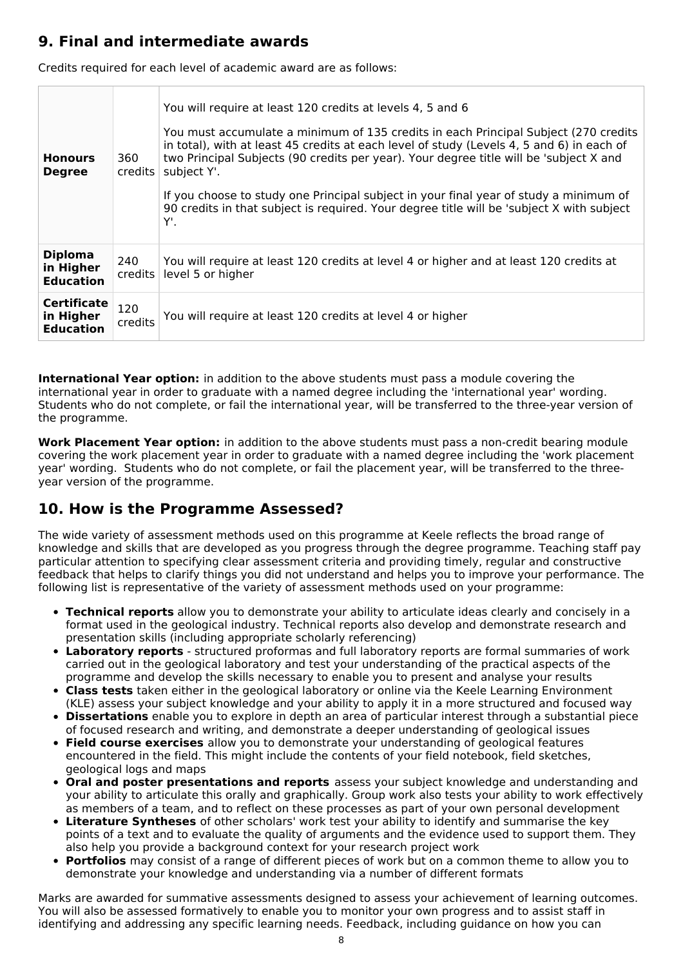# **9. Final and intermediate awards**

Credits required for each level of academic award are as follows:

| <b>Honours</b><br><b>Degree</b>                     | 360<br>$c$ redits $ $     | You will require at least 120 credits at levels 4, 5 and 6<br>You must accumulate a minimum of 135 credits in each Principal Subject (270 credits<br>in total), with at least 45 credits at each level of study (Levels 4, 5 and 6) in each of<br>two Principal Subjects (90 credits per year). Your degree title will be 'subject X and<br>subject Y'.<br>If you choose to study one Principal subject in your final year of study a minimum of<br>90 credits in that subject is required. Your degree title will be 'subject X with subject<br>Υ'. |
|-----------------------------------------------------|---------------------------|------------------------------------------------------------------------------------------------------------------------------------------------------------------------------------------------------------------------------------------------------------------------------------------------------------------------------------------------------------------------------------------------------------------------------------------------------------------------------------------------------------------------------------------------------|
| <b>Diploma</b><br>in Higher<br><b>Education</b>     | 240<br>$c$ redits $\vert$ | You will require at least 120 credits at level 4 or higher and at least 120 credits at<br>level 5 or higher                                                                                                                                                                                                                                                                                                                                                                                                                                          |
| <b>Certificate</b><br>in Higher<br><b>Education</b> | 120<br>credits            | You will require at least 120 credits at level 4 or higher                                                                                                                                                                                                                                                                                                                                                                                                                                                                                           |

**International Year option:** in addition to the above students must pass a module covering the international year in order to graduate with a named degree including the 'international year' wording. Students who do not complete, or fail the international year, will be transferred to the three-year version of the programme.

**Work Placement Year option:** in addition to the above students must pass a non-credit bearing module covering the work placement year in order to graduate with a named degree including the 'work placement year' wording. Students who do not complete, or fail the placement year, will be transferred to the threeyear version of the programme.

# **10. How is the Programme Assessed?**

The wide variety of assessment methods used on this programme at Keele reflects the broad range of knowledge and skills that are developed as you progress through the degree programme. Teaching staff pay particular attention to specifying clear assessment criteria and providing timely, regular and constructive feedback that helps to clarify things you did not understand and helps you to improve your performance. The following list is representative of the variety of assessment methods used on your programme:

- **Technical reports** allow you to demonstrate your ability to articulate ideas clearly and concisely in a format used in the geological industry. Technical reports also develop and demonstrate research and presentation skills (including appropriate scholarly referencing)
- **Laboratory reports** structured proformas and full laboratory reports are formal summaries of work carried out in the geological laboratory and test your understanding of the practical aspects of the programme and develop the skills necessary to enable you to present and analyse your results
- **Class tests** taken either in the geological laboratory or online via the Keele Learning Environment (KLE) assess your subject knowledge and your ability to apply it in a more structured and focused way
- **Dissertations** enable you to explore in depth an area of particular interest through a substantial piece of focused research and writing, and demonstrate a deeper understanding of geological issues
- **Field course exercises** allow you to demonstrate your understanding of geological features encountered in the field. This might include the contents of your field notebook, field sketches, geological logs and maps
- **Oral and poster presentations and reports** assess your subject knowledge and understanding and your ability to articulate this orally and graphically. Group work also tests your ability to work effectively as members of a team, and to reflect on these processes as part of your own personal development
- **Literature Syntheses** of other scholars' work test your ability to identify and summarise the key points of a text and to evaluate the quality of arguments and the evidence used to support them. They also help you provide a background context for your research project work
- **Portfolios** may consist of a range of different pieces of work but on a common theme to allow you to demonstrate your knowledge and understanding via a number of different formats

Marks are awarded for summative assessments designed to assess your achievement of learning outcomes. You will also be assessed formatively to enable you to monitor your own progress and to assist staff in identifying and addressing any specific learning needs. Feedback, including guidance on how you can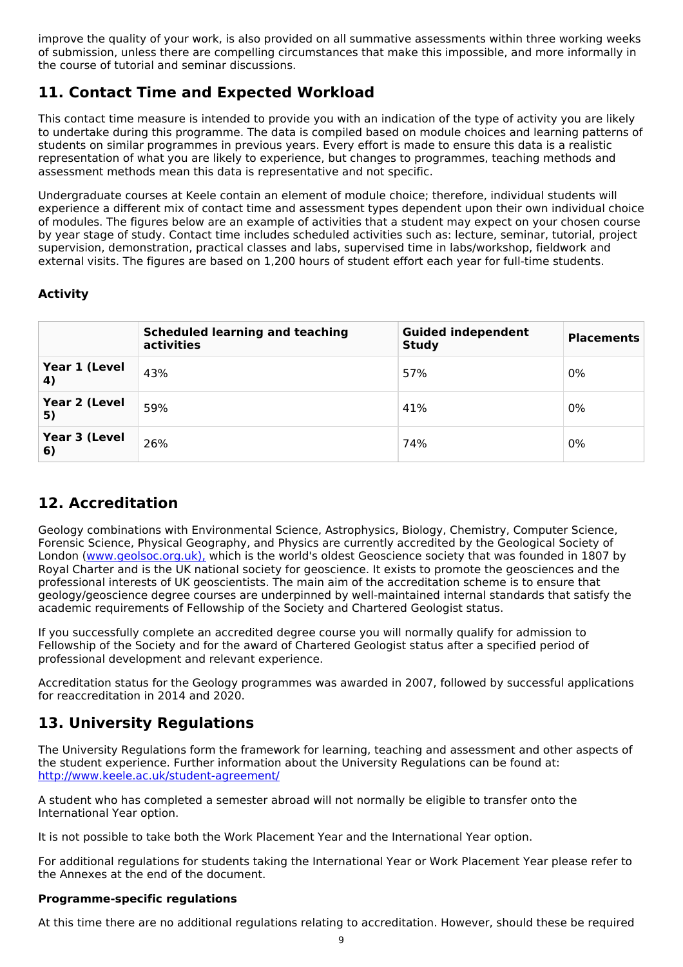improve the quality of your work, is also provided on all summative assessments within three working weeks of submission, unless there are compelling circumstances that make this impossible, and more informally in the course of tutorial and seminar discussions.

# **11. Contact Time and Expected Workload**

This contact time measure is intended to provide you with an indication of the type of activity you are likely to undertake during this programme. The data is compiled based on module choices and learning patterns of students on similar programmes in previous years. Every effort is made to ensure this data is a realistic representation of what you are likely to experience, but changes to programmes, teaching methods and assessment methods mean this data is representative and not specific.

Undergraduate courses at Keele contain an element of module choice; therefore, individual students will experience a different mix of contact time and assessment types dependent upon their own individual choice of modules. The figures below are an example of activities that a student may expect on your chosen course by year stage of study. Contact time includes scheduled activities such as: lecture, seminar, tutorial, project supervision, demonstration, practical classes and labs, supervised time in labs/workshop, fieldwork and external visits. The figures are based on 1,200 hours of student effort each year for full-time students.

## **Activity**

|                     | <b>Scheduled learning and teaching</b><br>activities | <b>Guided independent</b><br><b>Study</b> | <b>Placements</b> |
|---------------------|------------------------------------------------------|-------------------------------------------|-------------------|
| Year 1 (Level<br>4) | 43%                                                  | 57%                                       | 0%                |
| Year 2 (Level<br>5) | 59%                                                  | 41%                                       | 0%                |
| Year 3 (Level<br>6) | 26%                                                  | 74%                                       | 0%                |

# **12. Accreditation**

Geology combinations with Environmental Science, Astrophysics, Biology, Chemistry, Computer Science, Forensic Science, Physical Geography, and Physics are currently accredited by the Geological Society of London [\(www.geolsoc.org.uk\),](http://www.geolsoc.org.uk/) which is the world's oldest Geoscience society that was founded in 1807 by Royal Charter and is the UK national society for geoscience. It exists to promote the geosciences and the professional interests of UK geoscientists. The main aim of the accreditation scheme is to ensure that geology/geoscience degree courses are underpinned by well-maintained internal standards that satisfy the academic requirements of Fellowship of the Society and Chartered Geologist status.

If you successfully complete an accredited degree course you will normally qualify for admission to Fellowship of the Society and for the award of Chartered Geologist status after a specified period of professional development and relevant experience.

Accreditation status for the Geology programmes was awarded in 2007, followed by successful applications for reaccreditation in 2014 and 2020.

# **13. University Regulations**

The University Regulations form the framework for learning, teaching and assessment and other aspects of the student experience. Further information about the University Regulations can be found at: <http://www.keele.ac.uk/student-agreement/>

A student who has completed a semester abroad will not normally be eligible to transfer onto the International Year option.

It is not possible to take both the Work Placement Year and the International Year option.

For additional regulations for students taking the International Year or Work Placement Year please refer to the Annexes at the end of the document.

### **Programme-specific regulations**

At this time there are no additional regulations relating to accreditation. However, should these be required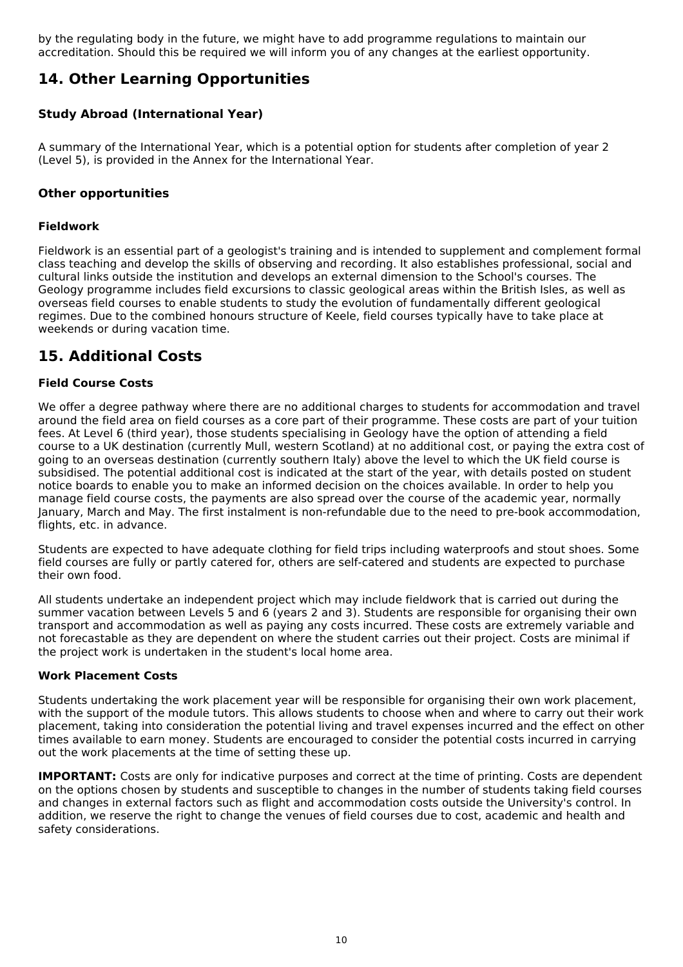by the regulating body in the future, we might have to add programme regulations to maintain our accreditation. Should this be required we will inform you of any changes at the earliest opportunity.

# **14. Other Learning Opportunities**

## **Study Abroad (International Year)**

A summary of the International Year, which is a potential option for students after completion of year 2 (Level 5), is provided in the Annex for the International Year.

#### **Other opportunities**

#### **Fieldwork**

Fieldwork is an essential part of a geologist's training and is intended to supplement and complement formal class teaching and develop the skills of observing and recording. It also establishes professional, social and cultural links outside the institution and develops an external dimension to the School's courses. The Geology programme includes field excursions to classic geological areas within the British Isles, as well as overseas field courses to enable students to study the evolution of fundamentally different geological regimes. Due to the combined honours structure of Keele, field courses typically have to take place at weekends or during vacation time.

# **15. Additional Costs**

#### **Field Course Costs**

We offer a degree pathway where there are no additional charges to students for accommodation and travel around the field area on field courses as a core part of their programme. These costs are part of your tuition fees. At Level 6 (third year), those students specialising in Geology have the option of attending a field course to a UK destination (currently Mull, western Scotland) at no additional cost, or paying the extra cost of going to an overseas destination (currently southern Italy) above the level to which the UK field course is subsidised. The potential additional cost is indicated at the start of the year, with details posted on student notice boards to enable you to make an informed decision on the choices available. In order to help you manage field course costs, the payments are also spread over the course of the academic year, normally January, March and May. The first instalment is non-refundable due to the need to pre-book accommodation, flights, etc. in advance.

Students are expected to have adequate clothing for field trips including waterproofs and stout shoes. Some field courses are fully or partly catered for, others are self-catered and students are expected to purchase their own food.

All students undertake an independent project which may include fieldwork that is carried out during the summer vacation between Levels 5 and 6 (years 2 and 3). Students are responsible for organising their own transport and accommodation as well as paying any costs incurred. These costs are extremely variable and not forecastable as they are dependent on where the student carries out their project. Costs are minimal if the project work is undertaken in the student's local home area.

#### **Work Placement Costs**

Students undertaking the work placement year will be responsible for organising their own work placement, with the support of the module tutors. This allows students to choose when and where to carry out their work placement, taking into consideration the potential living and travel expenses incurred and the effect on other times available to earn money. Students are encouraged to consider the potential costs incurred in carrying out the work placements at the time of setting these up.

**IMPORTANT:** Costs are only for indicative purposes and correct at the time of printing. Costs are dependent on the options chosen by students and susceptible to changes in the number of students taking field courses and changes in external factors such as flight and accommodation costs outside the University's control. In addition, we reserve the right to change the venues of field courses due to cost, academic and health and safety considerations.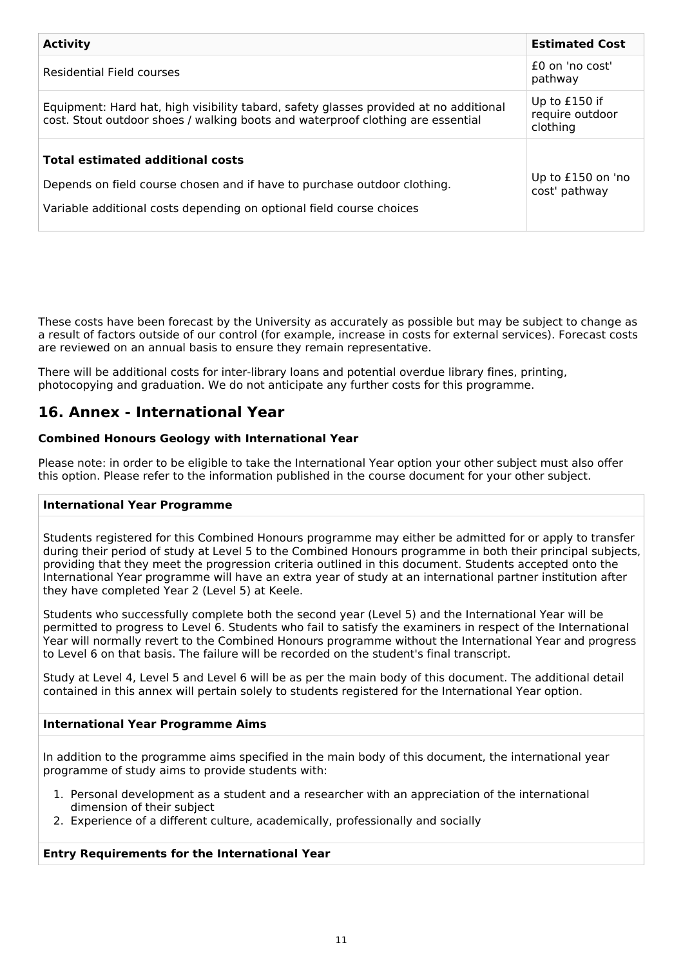| <b>Activity</b>                                                                                                                                                                             | <b>Estimated Cost</b>                        |
|---------------------------------------------------------------------------------------------------------------------------------------------------------------------------------------------|----------------------------------------------|
| Residential Field courses                                                                                                                                                                   | $f0$ on 'no cost'<br>pathway                 |
| Equipment: Hard hat, high visibility tabard, safety glasses provided at no additional<br>cost. Stout outdoor shoes / walking boots and waterproof clothing are essential                    | Up to £150 if<br>require outdoor<br>clothing |
| <b>Total estimated additional costs</b><br>Depends on field course chosen and if have to purchase outdoor clothing.<br>Variable additional costs depending on optional field course choices | Up to £150 on 'no<br>cost' pathway           |

These costs have been forecast by the University as accurately as possible but may be subject to change as a result of factors outside of our control (for example, increase in costs for external services). Forecast costs are reviewed on an annual basis to ensure they remain representative.

There will be additional costs for inter-library loans and potential overdue library fines, printing, photocopying and graduation. We do not anticipate any further costs for this programme.

# **16. Annex - International Year**

### **Combined Honours Geology with International Year**

Please note: in order to be eligible to take the International Year option your other subject must also offer this option. Please refer to the information published in the course document for your other subject.

#### **International Year Programme**

Students registered for this Combined Honours programme may either be admitted for or apply to transfer during their period of study at Level 5 to the Combined Honours programme in both their principal subjects, providing that they meet the progression criteria outlined in this document. Students accepted onto the International Year programme will have an extra year of study at an international partner institution after they have completed Year 2 (Level 5) at Keele.

Students who successfully complete both the second year (Level 5) and the International Year will be permitted to progress to Level 6. Students who fail to satisfy the examiners in respect of the International Year will normally revert to the Combined Honours programme without the International Year and progress to Level 6 on that basis. The failure will be recorded on the student's final transcript.

Study at Level 4, Level 5 and Level 6 will be as per the main body of this document. The additional detail contained in this annex will pertain solely to students registered for the International Year option.

### **International Year Programme Aims**

In addition to the programme aims specified in the main body of this document, the international year programme of study aims to provide students with:

- 1. Personal development as a student and a researcher with an appreciation of the international dimension of their subject
- 2. Experience of a different culture, academically, professionally and socially

#### **Entry Requirements for the International Year**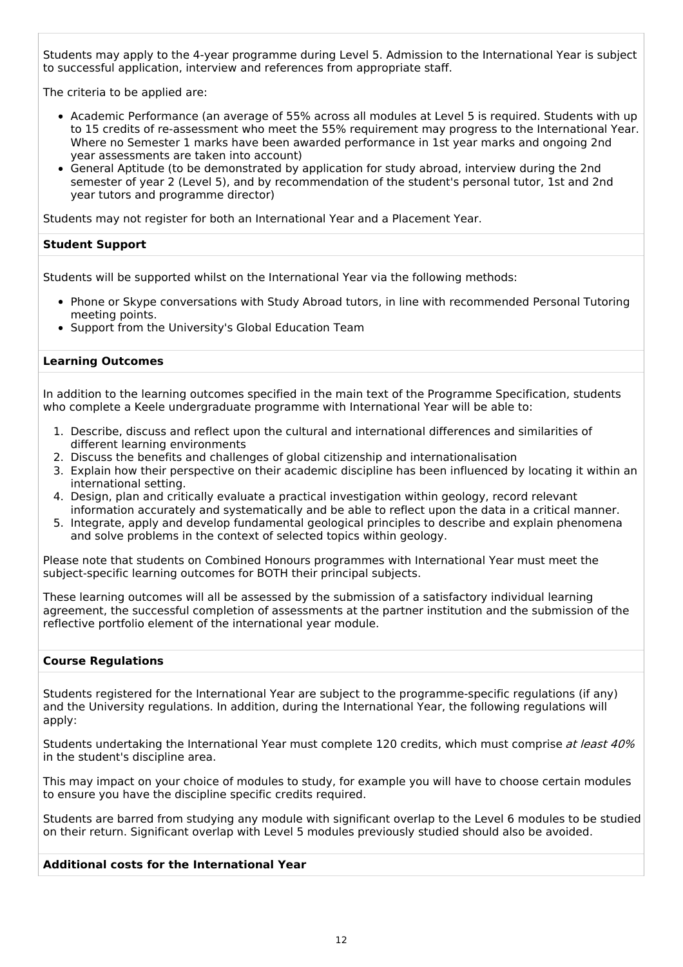Students may apply to the 4-year programme during Level 5. Admission to the International Year is subject to successful application, interview and references from appropriate staff.

The criteria to be applied are:

- Academic Performance (an average of 55% across all modules at Level 5 is required. Students with up to 15 credits of re-assessment who meet the 55% requirement may progress to the International Year. Where no Semester 1 marks have been awarded performance in 1st year marks and ongoing 2nd year assessments are taken into account)
- General Aptitude (to be demonstrated by application for study abroad, interview during the 2nd semester of year 2 (Level 5), and by recommendation of the student's personal tutor, 1st and 2nd year tutors and programme director)

Students may not register for both an International Year and a Placement Year.

#### **Student Support**

Students will be supported whilst on the International Year via the following methods:

- Phone or Skype conversations with Study Abroad tutors, in line with recommended Personal Tutoring meeting points.
- Support from the University's Global Education Team

#### **Learning Outcomes**

In addition to the learning outcomes specified in the main text of the Programme Specification, students who complete a Keele undergraduate programme with International Year will be able to:

- 1. Describe, discuss and reflect upon the cultural and international differences and similarities of different learning environments
- 2. Discuss the benefits and challenges of global citizenship and internationalisation
- 3. Explain how their perspective on their academic discipline has been influenced by locating it within an international setting.
- 4. Design, plan and critically evaluate a practical investigation within geology, record relevant information accurately and systematically and be able to reflect upon the data in a critical manner.
- 5. Integrate, apply and develop fundamental geological principles to describe and explain phenomena and solve problems in the context of selected topics within geology.

Please note that students on Combined Honours programmes with International Year must meet the subject-specific learning outcomes for BOTH their principal subjects.

These learning outcomes will all be assessed by the submission of a satisfactory individual learning agreement, the successful completion of assessments at the partner institution and the submission of the reflective portfolio element of the international year module.

#### **Course Regulations**

Students registered for the International Year are subject to the programme-specific regulations (if any) and the University regulations. In addition, during the International Year, the following regulations will apply:

Students undertaking the International Year must complete 120 credits, which must comprise at least 40% in the student's discipline area.

This may impact on your choice of modules to study, for example you will have to choose certain modules to ensure you have the discipline specific credits required.

Students are barred from studying any module with significant overlap to the Level 6 modules to be studied on their return. Significant overlap with Level 5 modules previously studied should also be avoided.

#### **Additional costs for the International Year**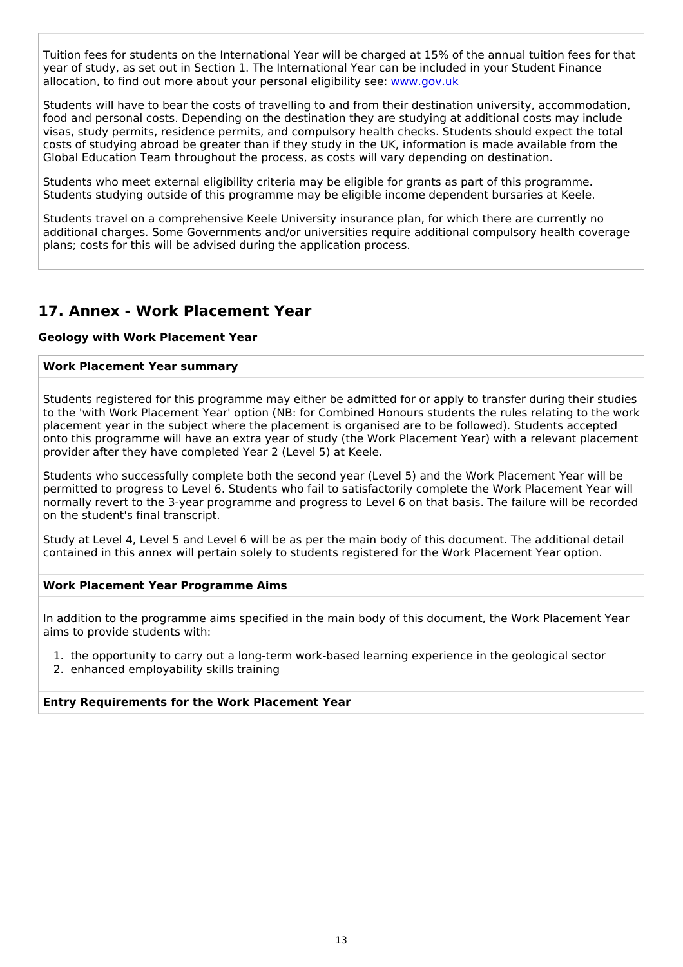Tuition fees for students on the International Year will be charged at 15% of the annual tuition fees for that year of study, as set out in Section 1. The International Year can be included in your Student Finance allocation, to find out more about your personal eligibility see: [www.gov.uk](http://www.gov.uk/)

Students will have to bear the costs of travelling to and from their destination university, accommodation, food and personal costs. Depending on the destination they are studying at additional costs may include visas, study permits, residence permits, and compulsory health checks. Students should expect the total costs of studying abroad be greater than if they study in the UK, information is made available from the Global Education Team throughout the process, as costs will vary depending on destination.

Students who meet external eligibility criteria may be eligible for grants as part of this programme. Students studying outside of this programme may be eligible income dependent bursaries at Keele.

Students travel on a comprehensive Keele University insurance plan, for which there are currently no additional charges. Some Governments and/or universities require additional compulsory health coverage plans; costs for this will be advised during the application process.

## **17. Annex - Work Placement Year**

#### **Geology with Work Placement Year**

#### **Work Placement Year summary**

Students registered for this programme may either be admitted for or apply to transfer during their studies to the 'with Work Placement Year' option (NB: for Combined Honours students the rules relating to the work placement year in the subject where the placement is organised are to be followed). Students accepted onto this programme will have an extra year of study (the Work Placement Year) with a relevant placement provider after they have completed Year 2 (Level 5) at Keele.

Students who successfully complete both the second year (Level 5) and the Work Placement Year will be permitted to progress to Level 6. Students who fail to satisfactorily complete the Work Placement Year will normally revert to the 3-year programme and progress to Level 6 on that basis. The failure will be recorded on the student's final transcript.

Study at Level 4, Level 5 and Level 6 will be as per the main body of this document. The additional detail contained in this annex will pertain solely to students registered for the Work Placement Year option.

#### **Work Placement Year Programme Aims**

In addition to the programme aims specified in the main body of this document, the Work Placement Year aims to provide students with:

1. the opportunity to carry out a long-term work-based learning experience in the geological sector

2. enhanced employability skills training

#### **Entry Requirements for the Work Placement Year**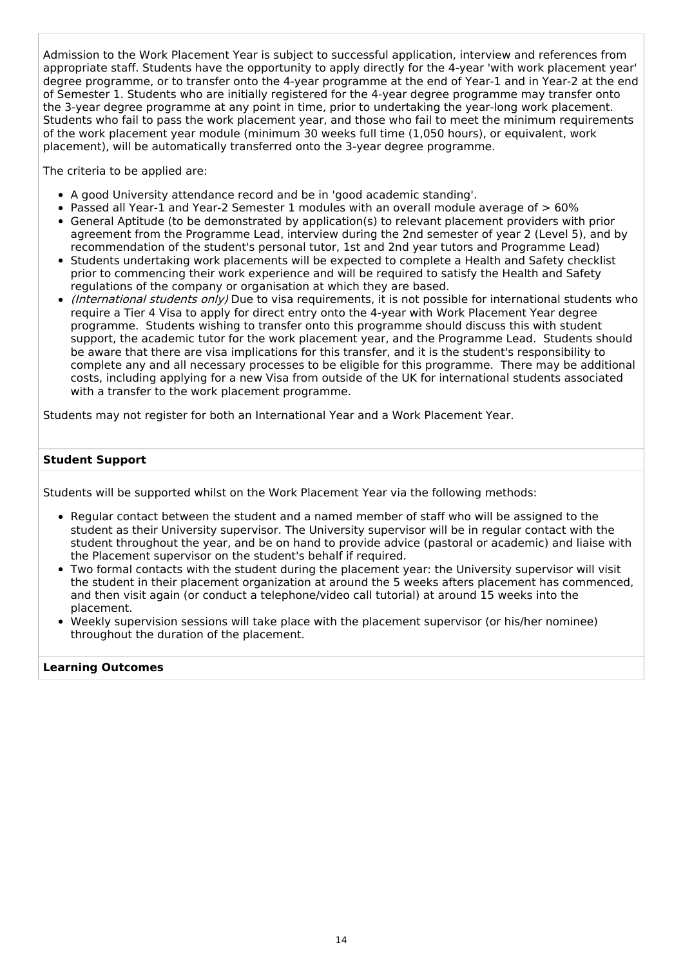Admission to the Work Placement Year is subject to successful application, interview and references from appropriate staff. Students have the opportunity to apply directly for the 4-year 'with work placement year' degree programme, or to transfer onto the 4-year programme at the end of Year-1 and in Year-2 at the end of Semester 1. Students who are initially registered for the 4-year degree programme may transfer onto the 3-year degree programme at any point in time, prior to undertaking the year-long work placement. Students who fail to pass the work placement year, and those who fail to meet the minimum requirements of the work placement year module (minimum 30 weeks full time (1,050 hours), or equivalent, work placement), will be automatically transferred onto the 3-year degree programme.

The criteria to be applied are:

- A good University attendance record and be in 'good academic standing'.
- Passed all Year-1 and Year-2 Semester 1 modules with an overall module average of  $> 60\%$
- General Aptitude (to be demonstrated by application(s) to relevant placement providers with prior agreement from the Programme Lead, interview during the 2nd semester of year 2 (Level 5), and by recommendation of the student's personal tutor, 1st and 2nd year tutors and Programme Lead)
- Students undertaking work placements will be expected to complete a Health and Safety checklist prior to commencing their work experience and will be required to satisfy the Health and Safety regulations of the company or organisation at which they are based.
- *(International students only)* Due to visa requirements, it is not possible for international students who require a Tier 4 Visa to apply for direct entry onto the 4-year with Work Placement Year degree programme. Students wishing to transfer onto this programme should discuss this with student support, the academic tutor for the work placement year, and the Programme Lead. Students should be aware that there are visa implications for this transfer, and it is the student's responsibility to complete any and all necessary processes to be eligible for this programme. There may be additional costs, including applying for a new Visa from outside of the UK for international students associated with a transfer to the work placement programme.

Students may not register for both an International Year and a Work Placement Year.

#### **Student Support**

Students will be supported whilst on the Work Placement Year via the following methods:

- Regular contact between the student and a named member of staff who will be assigned to the student as their University supervisor. The University supervisor will be in regular contact with the student throughout the year, and be on hand to provide advice (pastoral or academic) and liaise with the Placement supervisor on the student's behalf if required.
- Two formal contacts with the student during the placement year: the University supervisor will visit the student in their placement organization at around the 5 weeks afters placement has commenced, and then visit again (or conduct a telephone/video call tutorial) at around 15 weeks into the placement.
- Weekly supervision sessions will take place with the placement supervisor (or his/her nominee) throughout the duration of the placement.

#### **Learning Outcomes**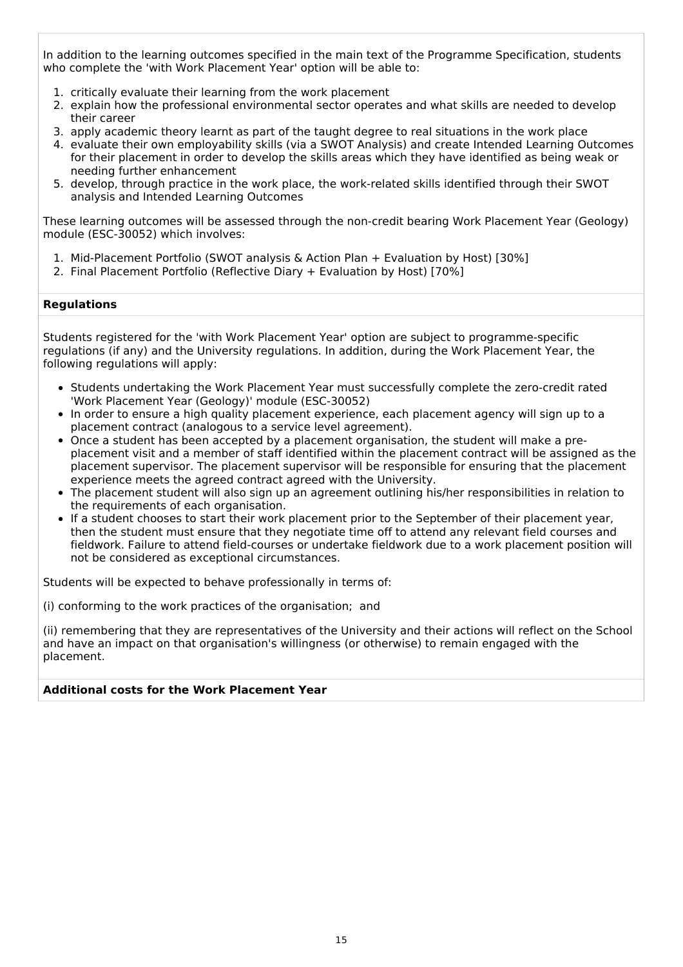In addition to the learning outcomes specified in the main text of the Programme Specification, students who complete the 'with Work Placement Year' option will be able to:

- 1. critically evaluate their learning from the work placement
- 2. explain how the professional environmental sector operates and what skills are needed to develop their career
- 3. apply academic theory learnt as part of the taught degree to real situations in the work place
- 4. evaluate their own employability skills (via a SWOT Analysis) and create Intended Learning Outcomes for their placement in order to develop the skills areas which they have identified as being weak or needing further enhancement
- 5. develop, through practice in the work place, the work-related skills identified through their SWOT analysis and Intended Learning Outcomes

These learning outcomes will be assessed through the non-credit bearing Work Placement Year (Geology) module (ESC-30052) which involves:

- 1. Mid-Placement Portfolio (SWOT analysis & Action Plan + Evaluation by Host) [30%]
- 2. Final Placement Portfolio (Reflective Diary + Evaluation by Host) [70%]

#### **Regulations**

Students registered for the 'with Work Placement Year' option are subject to programme-specific regulations (if any) and the University regulations. In addition, during the Work Placement Year, the following regulations will apply:

- Students undertaking the Work Placement Year must successfully complete the zero-credit rated 'Work Placement Year (Geology)' module (ESC-30052)
- In order to ensure a high quality placement experience, each placement agency will sign up to a placement contract (analogous to a service level agreement).
- Once a student has been accepted by a placement organisation, the student will make a preplacement visit and a member of staff identified within the placement contract will be assigned as the placement supervisor. The placement supervisor will be responsible for ensuring that the placement experience meets the agreed contract agreed with the University.
- The placement student will also sign up an agreement outlining his/her responsibilities in relation to the requirements of each organisation.
- If a student chooses to start their work placement prior to the September of their placement year, then the student must ensure that they negotiate time off to attend any relevant field courses and fieldwork. Failure to attend field-courses or undertake fieldwork due to a work placement position will not be considered as exceptional circumstances.

Students will be expected to behave professionally in terms of:

(i) conforming to the work practices of the organisation; and

(ii) remembering that they are representatives of the University and their actions will reflect on the School and have an impact on that organisation's willingness (or otherwise) to remain engaged with the placement.

#### **Additional costs for the Work Placement Year**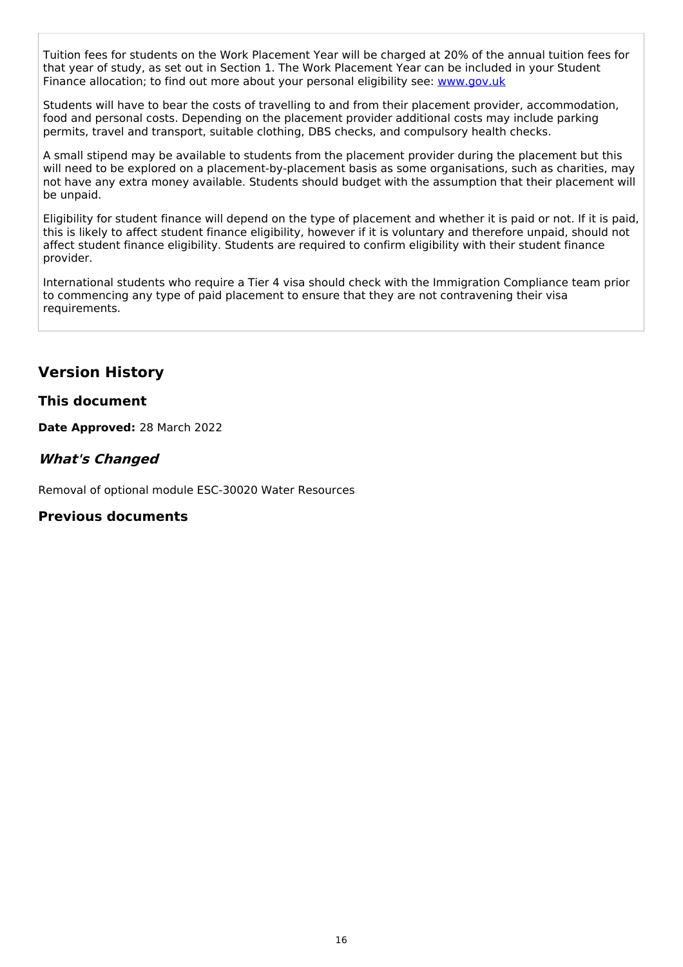Tuition fees for students on the Work Placement Year will be charged at 20% of the annual tuition fees for that year of study, as set out in Section 1. The Work Placement Year can be included in your Student Finance allocation; to find out more about your personal eligibility see: [www.gov.uk](http://www.gov.uk/)

Students will have to bear the costs of travelling to and from their placement provider, accommodation, food and personal costs. Depending on the placement provider additional costs may include parking permits, travel and transport, suitable clothing, DBS checks, and compulsory health checks.

A small stipend may be available to students from the placement provider during the placement but this will need to be explored on a placement-by-placement basis as some organisations, such as charities, may not have any extra money available. Students should budget with the assumption that their placement will be unpaid.

Eligibility for student finance will depend on the type of placement and whether it is paid or not. If it is paid, this is likely to affect student finance eligibility, however if it is voluntary and therefore unpaid, should not affect student finance eligibility. Students are required to confirm eligibility with their student finance provider.

International students who require a Tier 4 visa should check with the Immigration Compliance team prior to commencing any type of paid placement to ensure that they are not contravening their visa requirements.

# **Version History**

## **This document**

**Date Approved:** 28 March 2022

## **What's Changed**

Removal of optional module ESC-30020 Water Resources

### **Previous documents**